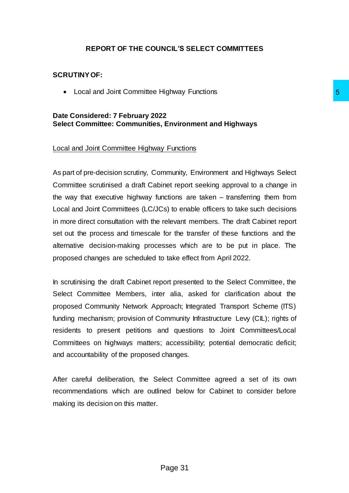# **REPORT OF THE COUNCIL'S SELECT COMMITTEES**

# **SCRUTINY OF:**

Local and Joint Committee Highway Functions

### **Date Considered: 7 February 2022 Select Committee: Communities, Environment and Highways**

#### Local and Joint Committee Highway Functions

As part of pre-decision scrutiny, Community, Environment and Highways Select Committee scrutinised a draft Cabinet report seeking approval to a change in the way that executive highway functions are taken – transferring them from Local and Joint Committees (LC/JCs) to enable officers to take such decisions in more direct consultation with the relevant members. The draft Cabinet report set out the process and timescale for the transfer of these functions and the alternative decision-making processes which are to be put in place. The proposed changes are scheduled to take effect from April 2022. <sup>1</sup><br> **Example 12**<br> **Example 32**<br> **Payment and Highways**<br> **Payment and Highways**<br> **Payment and Highways**<br> **Select**<br>
intert report seeking approval to a change in<br>
ractions are taken – transferring them from<br>
Sa) to enable o

In scrutinising the draft Cabinet report presented to the Select Committee, the Select Committee Members, inter alia, asked for clarification about the proposed Community Network Approach; Integrated Transport Scheme (ITS) funding mechanism; provision of Community Infrastructure Levy (CIL); rights of residents to present petitions and questions to Joint Committees/Local Committees on highways matters; accessibility; potential democratic deficit; and accountability of the proposed changes.

After careful deliberation, the Select Committee agreed a set of its own recommendations which are outlined below for Cabinet to consider before making its decision on this matter.